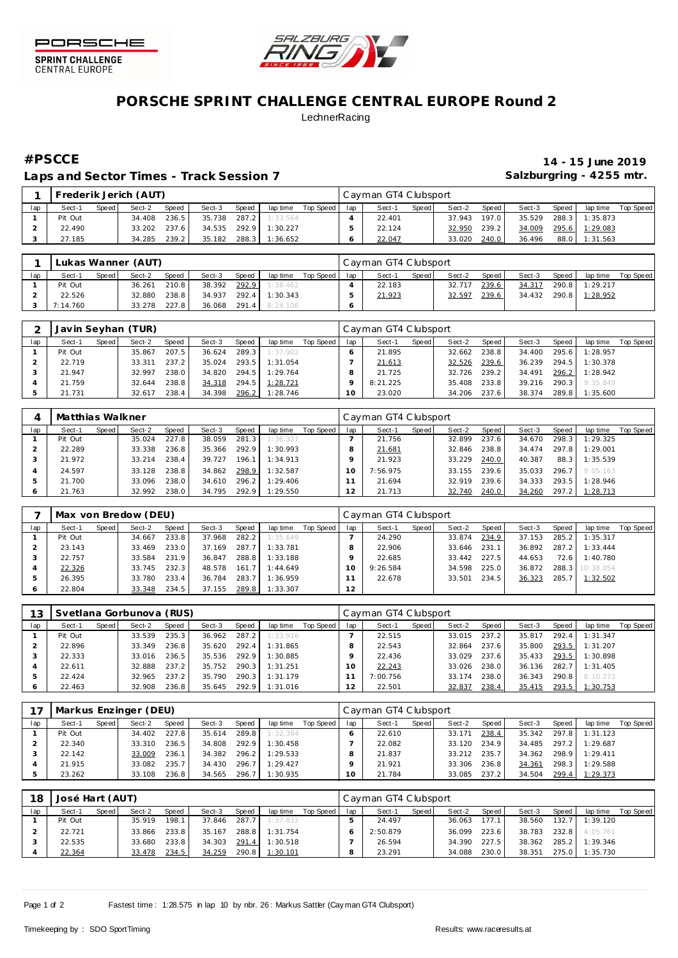



## **PORSCHE SPRINT CHALLENGE CENTRAL EUROPE Round 2 LechnerRacing**

Laps and Sector Times - Track Session 7 **Salzburgring - 4255 mtr.** And Salzburgring - 4255 mtr.

# **#PSCCE 14 - 15 June 2019**

|     |         |       | Frederik Jerich (AUT) |       |        |       |          |           |     | Cayman GT4 Clubsport |       |        |       |        |       |          |           |
|-----|---------|-------|-----------------------|-------|--------|-------|----------|-----------|-----|----------------------|-------|--------|-------|--------|-------|----------|-----------|
| lap | Sect-1  | Speed | Sect-2                | Speed | Sect-3 | Speed | lap time | Top Speed | lap | Sect-1               | Speed | Sect-2 | Speed | Sect-3 | Speed | lap time | Top Speed |
|     | Pit Out |       | 34.408                | 236.5 | 35.738 | 287.2 | 1:33.564 |           |     | 22.401               |       | 37.943 | 197.0 | 35.529 | 288.3 | 1:35.873 |           |
|     | 22.490  |       | 33.202                | 237.6 | 34.535 | 292.9 | 1:30.227 |           |     | 22.124               |       | 32.950 | 239.2 | 34.009 | 295.6 | 1:29.083 |           |
|     | 27.185  |       | 34.285                | 239.2 | 35.182 | 288.3 | 1:36.652 |           |     | 22.047               |       | 33.020 | 240.0 | 36.496 | 88.0  | 1:31.563 |           |

|     |          |       | Lukas Wanner (AUT) |       |        |       |                       |           |     | Cayman GT4 Clubsport |         |        |       |        |         |                       |           |
|-----|----------|-------|--------------------|-------|--------|-------|-----------------------|-----------|-----|----------------------|---------|--------|-------|--------|---------|-----------------------|-----------|
| lap | Sect-1   | Speed | Sect-2             | Speed | Sect-3 | Speed | lap time              | Top Speed | lap | Sect-1               | Speed I | Sect-2 | Speed | Sect-3 | Speed   | lap time              | Top Speed |
|     | Pit Out  |       | 36.261             | 210.8 | 38.392 | 292.9 | 1:38.462              |           |     | 22.183               |         | 32.717 | 239.6 | 34.317 | 290.8 L | 1:29.217              |           |
|     | 22.526   |       | 32.880             | 238.8 | 34.937 | 292.4 | 1:30.343              |           |     | 21.923               |         | 32.597 | 239.6 |        |         | 34.432 290.8 1:28.952 |           |
|     | 7:14.760 |       | 33.278             | 227.8 |        |       | 36.068 291.4 8:24.106 |           |     |                      |         |        |       |        |         |                       |           |

|     |         |       | Javin Seyhan (TUR) |       |        |       |          |           |        | Cayman GT4 Clubsport |         |        |       |        |       |                |           |
|-----|---------|-------|--------------------|-------|--------|-------|----------|-----------|--------|----------------------|---------|--------|-------|--------|-------|----------------|-----------|
| lap | Sect-1  | Speed | Sect-2             | Speed | Sect-3 | Speed | lap time | Top Speed | lap    | Sect-1               | Speed I | Sect-2 | Speed | Sect-3 | Speed | lap time       | Top Speed |
|     | Pit Out |       | 35.867             | 207.5 | 36.624 | 289.3 | 1:37.902 |           |        | 21.895               |         | 32.662 | 238.8 | 34.400 | 295.6 | 1:28.957       |           |
|     | 22.719  |       | 33.311             | 237.2 | 35.024 | 293.5 | 1:31.054 |           |        | 21.613               |         | 32.526 | 239.6 | 36.239 | 294.5 | 1:30.378       |           |
|     | 21.947  |       | 32.997             | 238.0 | 34.820 | 294.5 | 1:29.764 |           |        | 21.725               |         | 32.726 | 239.2 | 34.491 | 296.2 | 1:28.942       |           |
|     | 21.759  |       | 32.644             | 238.8 | 34.318 | 294.5 | 1:28.721 |           |        | 8:21.225             |         | 35.408 | 233.8 | 39.216 |       | 290.3 9:35.849 |           |
|     | 21.731  |       | 32.617             | 238.4 | 34.398 | 296.2 | 1:28.746 |           | $10-1$ | 23.020               |         | 34.206 | 237.6 | 38.374 | 289.8 | 1:35.600       |           |

|     | Matthias Walkner |       |        |       |        |       |          |           |     | Cayman GT4 Clubsport |       |        |       |        |       |          |           |
|-----|------------------|-------|--------|-------|--------|-------|----------|-----------|-----|----------------------|-------|--------|-------|--------|-------|----------|-----------|
| lap | Sect-1           | Speed | Sect-2 | Speed | Sect-3 | Speed | lap time | Top Speed | lap | Sect-1               | Speed | Sect-2 | Speed | Sect-3 | Speed | lap time | Top Speed |
|     | Pit Out          |       | 35.024 | 227.8 | 38.059 | 281.3 | 1:36.327 |           |     | 21.756               |       | 32.899 | 237.6 | 34.670 | 298.3 | 1:29.325 |           |
|     | 22.289           |       | 33.338 | 236.8 | 35.366 | 292.9 | 1:30.993 |           |     | 21.681               |       | 32.846 | 238.8 | 34.474 | 297.8 | 1:29.001 |           |
|     | 21.972           |       | 33.214 | 238.4 | 39.727 | 196.1 | 1:34.913 |           |     | 21.923               |       | 33.229 | 240.0 | 40.387 | 88.3  | 1:35.539 |           |
|     | 24.597           |       | 33.128 | 238.8 | 34.862 | 298.9 | 1:32.587 |           |     | 7:56.975             |       | 33.155 | 239.6 | 35.033 | 296.7 | 9:05.163 |           |
|     | 21.700           |       | 33.096 | 238.0 | 34.610 | 296.2 | 1:29.406 |           |     | 21.694               |       | 32.919 | 239.6 | 34.333 | 293.5 | 1:28.946 |           |
| O   | 21.763           |       | 32.992 | 238.0 | 34.795 | 292.9 | 1:29.550 |           |     | 21.713               |       | 32.740 | 240.0 | 34.260 | 297.2 | 1:28.713 |           |

|     |         |       | Max von Bredow (DEU) |       |        |       |          |           |     | Cayman GT4 Clubsport |       |        |       |        |       |                 |           |
|-----|---------|-------|----------------------|-------|--------|-------|----------|-----------|-----|----------------------|-------|--------|-------|--------|-------|-----------------|-----------|
| lap | Sect-1  | Speed | Sect-2               | Speed | Sect-3 | Speed | lap time | Top Speed | lap | Sect-1               | Speed | Sect-2 | Speed | Sect-3 | Speed | lap time        | Top Speed |
|     | Pit Out |       | 34.667               | 233.8 | 37.968 | 282.2 | 1:35.649 |           |     | 24.290               |       | 33.874 | 234.9 | 37.153 | 285.2 | 1:35.317        |           |
|     | 23.143  |       | 33.469               | 233.0 | 37.169 | 287.7 | 1:33.781 |           |     | 22.906               |       | 33.646 | 231.1 | 36.892 | 287.2 | 1:33.444        |           |
|     | 22.757  |       | 33.584               | 231.9 | 36.847 | 288.8 | 1:33.188 |           |     | 22.685               |       | 33.442 | 227.5 | 44.653 | 72.6  | 1:40.780        |           |
|     | 22.326  |       | 33.745               | 232.3 | 48.578 | 161.7 | 1:44.649 |           |     | 9:26.584             |       | 34.598 | 225.0 | 36.872 |       | 288.3 10:38.054 |           |
|     | 26.395  |       | 33.780               | 233.4 | 36.784 | 283.7 | 1:36.959 |           |     | 22.678               |       | 33.501 | 234.5 | 36.323 | 285.7 | 1:32.502        |           |
|     | 22.804  |       | 33.348               | 234.5 | 37.155 | 289.8 | 1:33.307 |           | 12  |                      |       |        |       |        |       |                 |           |

| 13  |         |       | Svetlana Gorbunova (RUS) |       |        |       |          |           |               | Cayman GT4 Clubsport |       |        |       |        |       |          |           |
|-----|---------|-------|--------------------------|-------|--------|-------|----------|-----------|---------------|----------------------|-------|--------|-------|--------|-------|----------|-----------|
| lap | Sect-1  | Speed | Sect-2                   | Speed | Sect-3 | Speed | lap time | Top Speed | lap           | Sect-1               | Speed | Sect-2 | Speed | Sect-3 | Speed | lap time | Top Speed |
|     | Pit Out |       | 33.539                   | 235.3 | 36.962 | 287.2 | 1:33.916 |           |               | 22.515               |       | 33.015 | 237.2 | 35.817 | 292.4 | 1:31.347 |           |
|     | 22.896  |       | 33.349                   | 236.8 | 35.620 | 292.4 | 1:31.865 |           |               | 22.543               |       | 32.864 | 237.6 | 35,800 | 293.5 | 1:31.207 |           |
|     | 22.333  |       | 33.016                   | 236.5 | 35.536 | 292.9 | 1:30.885 |           |               | 22.436               |       | 33.029 | 237.6 | 35.433 | 293.5 | 1:30.898 |           |
|     | 22.611  |       | 32.888                   | 237.2 | 35.752 | 290.3 | 1:31.251 |           | $10^{-}$      | 22.243               |       | 33.026 | 238.0 | 36.136 | 282.7 | 1:31.405 |           |
|     | 22.424  |       | 32.965                   | 237.2 | 35.790 | 290.3 | 1:31.179 |           |               | 7:00.756             |       | 33.174 | 238.0 | 36.343 | 290.8 | 8:10.273 |           |
|     | 22.463  |       | 32.908                   | 236.8 | 35.645 | 292.9 | 1:31.016 |           | $\mathcal{D}$ | 22.501               |       | 32.837 | 238.4 | 35.415 | 293.5 | 1:30.753 |           |

|     |         |         | Markus Enzinger (DEU) |       |        |       |          |           |     | Cayman GT4 Clubsport |       |        |       |        |       |          |           |
|-----|---------|---------|-----------------------|-------|--------|-------|----------|-----------|-----|----------------------|-------|--------|-------|--------|-------|----------|-----------|
| lap | Sect-1  | Speed I | Sect-2                | Speed | Sect-3 | Speed | lap time | Top Speed | lap | Sect-1               | Speed | Sect-2 | Speed | Sect-3 | Speed | lap time | Top Speed |
|     | Pit Out |         | 34.402                | 227.8 | 35.614 | 289.8 | 1:32.384 |           |     | 22.610               |       | 33.171 | 238.4 | 35.342 | 297.8 | 1:31.123 |           |
|     | 22.340  |         | 33.310                | 236.5 | 34.808 | 292.9 | 1:30.458 |           |     | 22.082               |       | 33.120 | 234.9 | 34.485 | 297.2 | 1:29.687 |           |
|     | 22.142  |         | 33.009                | 236.1 | 34.382 | 296.2 | 1:29.533 |           |     | 21.837               |       | 33.212 | 235.7 | 34.362 | 298.9 | 1:29.411 |           |
|     | 21.915  |         | 33.082                | 235.7 | 34.430 | 296.7 | 1:29.427 |           |     | 21.921               |       | 33.306 | 236.8 | 34.361 | 298.3 | 1:29.588 |           |
|     | 23.262  |         | 33.108                | 236.8 | 34.565 | 296.7 | 1:30.935 |           |     | 21.784               |       | 33.085 | 237.2 | 34.504 | 299.4 | 1:29.373 |           |

| 18  | José Hart (AUT) |         |        |              |        |       |          |           |     | Cayman GT4 Clubsport |       |        |       |        |       |          |           |
|-----|-----------------|---------|--------|--------------|--------|-------|----------|-----------|-----|----------------------|-------|--------|-------|--------|-------|----------|-----------|
| lap | Sect-1          | Speed I | Sect-2 | <b>Speed</b> | Sect-3 | Speed | lap time | Top Speed | lap | Sect-1               | Speed | Sect-2 | Speed | Sect-3 | Speed | lap time | Top Speed |
|     | Pit Out         |         | 35.919 | 198.1        | 37.846 | 287.7 | 1:37.832 |           |     | 24.497               |       | 36.063 | 177.1 | 38.560 | 132.7 | 1:39.120 |           |
|     | 22.721          |         | 33.866 | 233.8        | 35.167 | 288.8 | 1:31.754 |           |     | 2:50.879             |       | 36.099 | 223.6 | 38.783 | 232.8 | 4:05.761 |           |
|     | 22.535          |         | 33.680 | 233.8        | 34.303 | 291.4 | 1:30.518 |           |     | 26.594               |       | 34.390 | 227.5 | 38.362 | 285.2 | 1:39.346 |           |
|     | 22.364          |         | 33.478 | 234.5        | 34.259 | 290.8 | 1:30.101 |           |     | 23.291               |       | 34.088 | 230.0 | 38.351 | 275.0 | 1:35.730 |           |